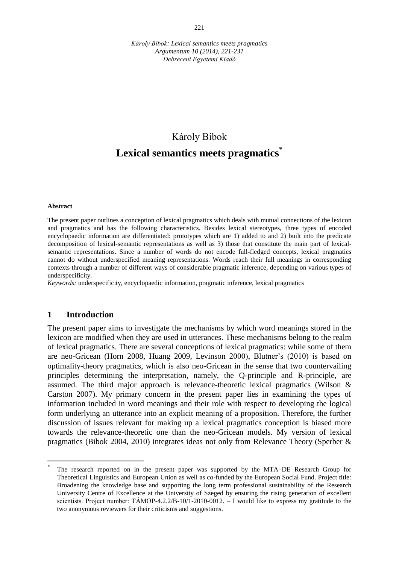# Károly Bibok **Lexical semantics meets pragmatics \***

#### **Abstract**

The present paper outlines a conception of lexical pragmatics which deals with mutual connections of the lexicon and pragmatics and has the following characteristics. Besides lexical stereotypes, three types of encoded encyclopaedic information are differentiated: prototypes which are 1) added to and 2) built into the predicate decomposition of lexical-semantic representations as well as 3) those that constitute the main part of lexicalsemantic representations. Since a number of words do not encode full-fledged concepts, lexical pragmatics cannot do without underspecified meaning representations. Words reach their full meanings in corresponding contexts through a number of different ways of considerable pragmatic inference, depending on various types of underspecificity.

*Keywords:* underspecificity, encyclopaedic information, pragmatic inference, lexical pragmatics

#### **1 Introduction**

The present paper aims to investigate the mechanisms by which word meanings stored in the lexicon are modified when they are used in utterances. These mechanisms belong to the realm of lexical pragmatics. There are several conceptions of lexical pragmatics: while some of them are neo-Gricean (Horn 2008, Huang 2009, Levinson 2000), Blutner's (2010) is based on optimality-theory pragmatics, which is also neo-Gricean in the sense that two countervailing principles determining the interpretation, namely, the Q-principle and R-principle, are assumed. The third major approach is relevance-theoretic lexical pragmatics (Wilson & Carston 2007). My primary concern in the present paper lies in examining the types of information included in word meanings and their role with respect to developing the logical form underlying an utterance into an explicit meaning of a proposition. Therefore, the further discussion of issues relevant for making up a lexical pragmatics conception is biased more towards the relevance-theoretic one than the neo-Gricean models. My version of lexical pragmatics (Bibok 2004, 2010) integrates ideas not only from Relevance Theory (Sperber &

<sup>\*</sup> The research reported on in the present paper was supported by the MTA–DE Research Group for Theoretical Linguistics and European Union as well as co-funded by the European Social Fund. Project title: Broadening the knowledge base and supporting the long term professional sustainability of the Research University Centre of Excellence at the University of Szeged by ensuring the rising generation of excellent scientists. Project number:  $T\text{ÅMOP-4.2.2/B-10/1-2010-0012.} - I$  would like to express my gratitude to the two anonymous reviewers for their criticisms and suggestions.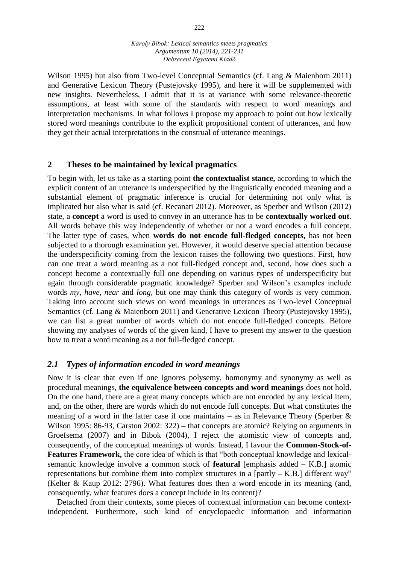Wilson 1995) but also from Two-level Conceptual Semantics (cf. Lang & Maienborn 2011) and Generative Lexicon Theory (Pustejovsky 1995), and here it will be supplemented with new insights. Nevertheless, I admit that it is at variance with some relevance-theoretic assumptions, at least with some of the standards with respect to word meanings and interpretation mechanisms. In what follows I propose my approach to point out how lexically stored word meanings contribute to the explicit propositional content of utterances, and how they get their actual interpretations in the construal of utterance meanings.

## **2 Theses to be maintained by lexical pragmatics**

To begin with, let us take as a starting point **the contextualist stance,** according to which the explicit content of an utterance is underspecified by the linguistically encoded meaning and a substantial element of pragmatic inference is crucial for determining not only what is implicated but also what is said (cf. Recanati 2012). Moreover, as Sperber and Wilson (2012) state, a **concept** a word is used to convey in an utterance has to be **contextually worked out**. All words behave this way independently of whether or not a word encodes a full concept. The latter type of cases, when **words do not encode full-fledged concepts,** has not been subjected to a thorough examination yet. However, it would deserve special attention because the underspecificity coming from the lexicon raises the following two questions. First, how can one treat a word meaning as a not full-fledged concept and, second, how does such a concept become a contextually full one depending on various types of underspecificity but again through considerable pragmatic knowledge? Sperber and Wilson's examples include words *my, have, near* and *long,* but one may think this category of words is very common. Taking into account such views on word meanings in utterances as Two-level Conceptual Semantics (cf. Lang & Maienborn 2011) and Generative Lexicon Theory (Pustejovsky 1995), we can list a great number of words which do not encode full-fledged concepts. Before showing my analyses of words of the given kind, I have to present my answer to the question how to treat a word meaning as a not full-fledged concept.

## *2.1 Types of information encoded in word meanings*

Now it is clear that even if one ignores polysemy, homonymy and synonymy as well as procedural meanings, **the equivalence between concepts and word meanings** does not hold. On the one hand, there are a great many concepts which are not encoded by any lexical item, and, on the other, there are words which do not encode full concepts. But what constitutes the meaning of a word in the latter case if one maintains **–** as in Relevance Theory (Sperber & Wilson 1995: 86-93, Carston 2002: 322) **–** that concepts are atomic? Relying on arguments in Groefsema (2007) and in Bibok (2004), I reject the atomistic view of concepts and, consequently, of the conceptual meanings of words. Instead, I favour the **Common-Stock-of-Features Framework,** the core idea of which is that "both conceptual knowledge and lexicalsemantic knowledge involve a common stock of **featural** [emphasis added **–** K.B.] atomic representations but combine them into complex structures in a [partly **–** K.B.] different way" (Kelter & Kaup 2012: 2796). What features does then a word encode in its meaning (and, consequently, what features does a concept include in its content)?

Detached from their contexts, some pieces of contextual information can become contextindependent. Furthermore, such kind of encyclopaedic information and information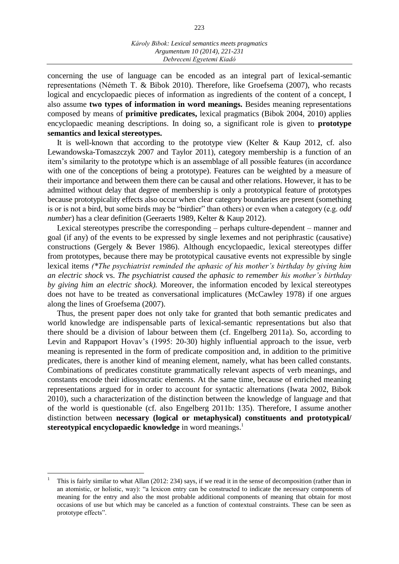concerning the use of language can be encoded as an integral part of lexical-semantic representations (Németh T. & Bibok 2010). Therefore, like Groefsema (2007), who recasts logical and encyclopaedic pieces of information as ingredients of the content of a concept, I also assume **two types of information in word meanings.** Besides meaning representations composed by means of **primitive predicates,** lexical pragmatics (Bibok 2004, 2010) applies encyclopaedic meaning descriptions. In doing so, a significant role is given to **prototype semantics and lexical stereotypes.**

It is well-known that according to the prototype view (Kelter & Kaup 2012, cf. also Lewandowska-Tomaszczyk 2007 and Taylor 2011), category membership is a function of an item's similarity to the prototype which is an assemblage of all possible features (in accordance with one of the conceptions of being a prototype). Features can be weighted by a measure of their importance and between them there can be causal and other relations. However, it has to be admitted without delay that degree of membership is only a prototypical feature of prototypes because prototypicality effects also occur when clear category boundaries are present (something is or is not a bird, but some birds may be "birdier" than others) or even when a category (e.g. *odd number*) has a clear definition (Geeraerts 1989, Kelter & Kaup 2012).

Lexical stereotypes prescribe the corresponding – perhaps culture-dependent – manner and goal (if any) of the events to be expressed by single lexemes and not periphrastic (causative) constructions (Gergely & Bever 1986). Although encyclopaedic, lexical stereotypes differ from prototypes, because there may be prototypical causative events not expressible by single lexical items *(\*The psychiatrist reminded the aphasic of his mother's birthday by giving him an electric shock* vs. *The psychiatrist caused the aphasic to remember his mother's birthday by giving him an electric shock).* Moreover, the information encoded by lexical stereotypes does not have to be treated as conversational implicatures (McCawley 1978) if one argues along the lines of Groefsema (2007).

Thus, the present paper does not only take for granted that both semantic predicates and world knowledge are indispensable parts of lexical-semantic representations but also that there should be a division of labour between them (cf. Engelberg 2011a). So, according to Levin and Rappaport Hovav's (1995: 20-30) highly influential approach to the issue, verb meaning is represented in the form of predicate composition and, in addition to the primitive predicates, there is another kind of meaning element, namely, what has been called constants. Combinations of predicates constitute grammatically relevant aspects of verb meanings, and constants encode their idiosyncratic elements. At the same time, because of enriched meaning representations argued for in order to account for syntactic alternations (Iwata 2002, Bibok 2010), such a characterization of the distinction between the knowledge of language and that of the world is questionable (cf. also Engelberg 2011b: 135). Therefore, I assume another distinction between **necessary (logical or metaphysical) constituents and prototypical/ stereotypical encyclopaedic knowledge** in word meanings.<sup>1</sup>

 $\overline{a}$ 

<sup>1</sup> This is fairly similar to what Allan (2012: 234) says, if we read it in the sense of decomposition (rather than in an atomistic, or holistic, way): "a lexicon entry can be constructed to indicate the necessary components of meaning for the entry and also the most probable additional components of meaning that obtain for most occasions of use but which may be canceled as a function of contextual constraints. These can be seen as prototype effects".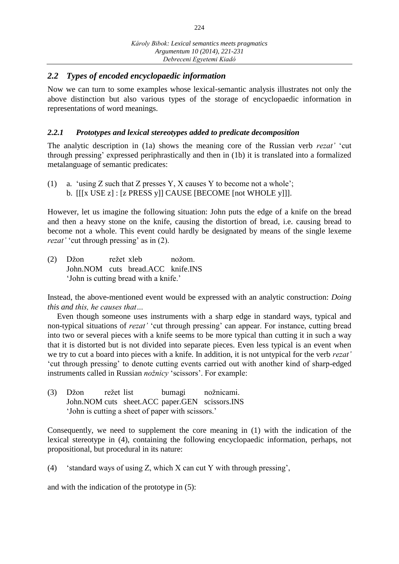## *2.2 Types of encoded encyclopaedic information*

Now we can turn to some examples whose lexical-semantic analysis illustrates not only the above distinction but also various types of the storage of encyclopaedic information in representations of word meanings.

## *2.2.1 Prototypes and lexical stereotypes added to predicate decomposition*

The analytic description in (1a) shows the meaning core of the Russian verb *rezat'* 'cut through pressing' expressed periphrastically and then in (1b) it is translated into a formalized metalanguage of semantic predicates:

(1) a. 'using Z such that Z presses Y, X causes Y to become not a whole'; b. [[[x USE z] : [z PRESS y]] CAUSE [BECOME [not WHOLE y]]].

However, let us imagine the following situation: John puts the edge of a knife on the bread and then a heavy stone on the knife, causing the distortion of bread, i.e. causing bread to become not a whole. This event could hardly be designated by means of the single lexeme *rezat'* 'cut through pressing' as in (2).

(2) Džon režet xleb nožom. John.NOM cuts bread.ACC knife.INS 'John is cutting bread with a knife.'

Instead, the above-mentioned event would be expressed with an analytic construction: *Doing this and this, he causes that…*

Even though someone uses instruments with a sharp edge in standard ways, typical and non-typical situations of *rezat'* 'cut through pressing' can appear. For instance, cutting bread into two or several pieces with a knife seems to be more typical than cutting it in such a way that it is distorted but is not divided into separate pieces. Even less typical is an event when we try to cut a board into pieces with a knife. In addition, it is not untypical for the verb *rezat'*  'cut through pressing' to denote cutting events carried out with another kind of sharp-edged instruments called in Russian *nožnicy* 'scissors'. For example:

(3) Džon režet list bumagi nožnicami. John.NOM cuts sheet.ACC paper.GEN scissors.INS 'John is cutting a sheet of paper with scissors.'

Consequently, we need to supplement the core meaning in (1) with the indication of the lexical stereotype in (4), containing the following encyclopaedic information, perhaps, not propositional, but procedural in its nature:

(4) 'standard ways of using Z, which X can cut Y with through pressing',

and with the indication of the prototype in (5):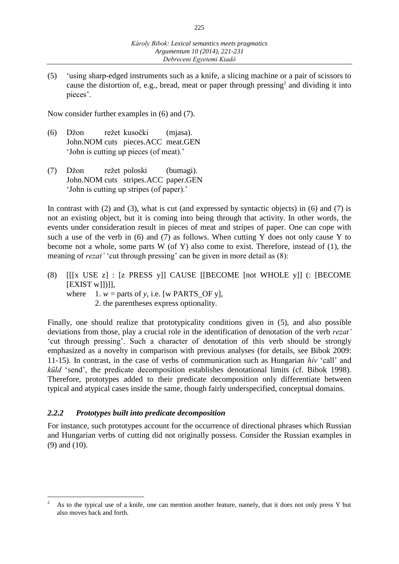(5) 'using sharp-edged instruments such as a knife, a slicing machine or a pair of scissors to cause the distortion of, e.g., bread, meat or paper through pressing<sup>2</sup> and dividing it into pieces'.

Now consider further examples in (6) and (7).

- (6) Džon režet kusočki (mjasa). John.NOM cuts pieces.ACC meat.GEN 'John is cutting up pieces (of meat).'
- (7) Džon režet poloski (bumagi). John.NOM cuts stripes.ACC paper.GEN 'John is cutting up stripes (of paper).'

In contrast with (2) and (3), what is cut (and expressed by syntactic objects) in (6) and (7) is not an existing object, but it is coming into being through that activity. In other words, the events under consideration result in pieces of meat and stripes of paper. One can cope with such a use of the verb in  $(6)$  and  $(7)$  as follows. When cutting Y does not only cause Y to become not a whole, some parts W (of Y) also come to exist. Therefore, instead of (1), the meaning of *rezat'* 'cut through pressing' can be given in more detail as (8):

- (8) [[[x USE z] : [z PRESS y]] CAUSE [[BECOME [not WHOLE y]] (: [BECOME [EXIST w]])]],
	- where  $1. w =$  parts of *y*, i.e. [w PARTS\_OF *y*], 2. the parentheses express optionality.

Finally, one should realize that prototypicality conditions given in (5), and also possible deviations from those, play a crucial role in the identification of denotation of the verb *rezat'*  'cut through pressing'. Such a character of denotation of this verb should be strongly emphasized as a novelty in comparison with previous analyses (for details, see Bibok 2009: 11-15). In contrast, in the case of verbs of communication such as Hungarian *hív* 'call' and *küld* 'send', the predicate decomposition establishes denotational limits (cf. Bibok 1998). Therefore, prototypes added to their predicate decomposition only differentiate between typical and atypical cases inside the same, though fairly underspecified, conceptual domains.

## *2.2.2 Prototypes built into predicate decomposition*

 $\overline{a}$ 

For instance, such prototypes account for the occurrence of directional phrases which Russian and Hungarian verbs of cutting did not originally possess. Consider the Russian examples in (9) and (10).

<sup>2</sup> As to the typical use of a knife, one can mention another feature, namely, that it does not only press Y but also moves back and forth.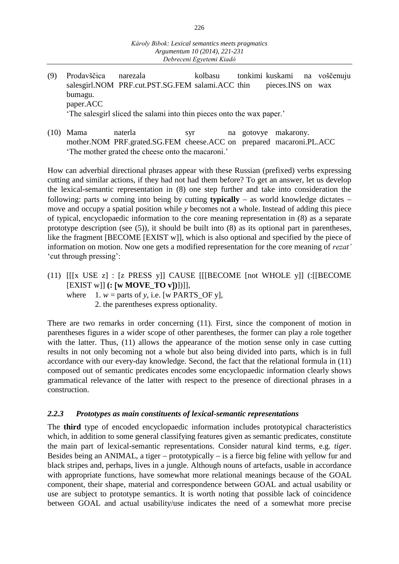- (9) Prodavščica narezala kolbasu tonkimi kuskami na voščenuju salesgirl.NOM PRF.cut.PST.SG.FEM salami.ACC thin pieces.INS on wax bumagu. paper.ACC 'The salesgirl sliced the salami into thin pieces onto the wax paper.'
	-
- (10) Mama naterla syr na gotovye makarony. mother.NOM PRF.grated.SG.FEM cheese.ACC on prepared macaroni.PL.ACC 'The mother grated the cheese onto the macaroni.'

How can adverbial directional phrases appear with these Russian (prefixed) verbs expressing cutting and similar actions, if they had not had them before? To get an answer, let us develop the lexical-semantic representation in (8) one step further and take into consideration the following: parts *w* coming into being by cutting **typically** – as world knowledge dictates – move and occupy a spatial position while *y* becomes not a whole. Instead of adding this piece of typical, encyclopaedic information to the core meaning representation in (8) as a separate prototype description (see (5)), it should be built into (8) as its optional part in parentheses, like the fragment [BECOME [EXIST w]], which is also optional and specified by the piece of information on motion. Now one gets a modified representation for the core meaning of *rezat'*  'cut through pressing':

- (11) [[[x USE z] : [z PRESS y]] CAUSE [[[BECOME [not WHOLE y]] (:[[BECOME [EXIST w]] **(: w MOVE\_TO v)**])]],
	- where  $1. w =$  parts of *y*, i.e. [w PARTS\_OF *y*],
		- 2. the parentheses express optionality.

There are two remarks in order concerning (11). First, since the component of motion in parentheses figures in a wider scope of other parentheses, the former can play a role together with the latter. Thus, (11) allows the appearance of the motion sense only in case cutting results in not only becoming not a whole but also being divided into parts, which is in full accordance with our every-day knowledge. Second, the fact that the relational formula in (11) composed out of semantic predicates encodes some encyclopaedic information clearly shows grammatical relevance of the latter with respect to the presence of directional phrases in a construction.

## *2.2.3 Prototypes as main constituents of lexical-semantic representations*

The **third** type of encoded encyclopaedic information includes prototypical characteristics which, in addition to some general classifying features given as semantic predicates, constitute the main part of lexical-semantic representations. Consider natural kind terms, e.g. *tiger*. Besides being an ANIMAL, a tiger  $-$  prototypically  $-$  is a fierce big feline with yellow fur and black stripes and, perhaps, lives in a jungle. Although nouns of artefacts, usable in accordance with appropriate functions, have somewhat more relational meanings because of the GOAL component, their shape, material and correspondence between GOAL and actual usability or use are subject to prototype semantics. It is worth noting that possible lack of coincidence between GOAL and actual usability/use indicates the need of a somewhat more precise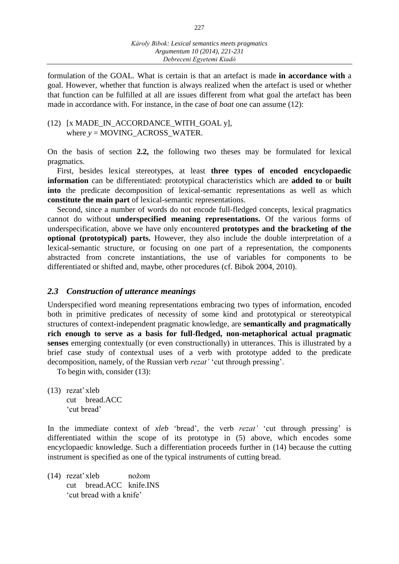formulation of the GOAL. What is certain is that an artefact is made **in accordance with** a goal. However, whether that function is always realized when the artefact is used or whether that function can be fulfilled at all are issues different from what goal the artefact has been made in accordance with. For instance, in the case of *boat* one can assume (12):

#### (12) [x MADE\_IN\_ACCORDANCE\_WITH\_GOAL y], where *y* = MOVING\_ACROSS\_WATER.

On the basis of section **2.2,** the following two theses may be formulated for lexical pragmatics.

First, besides lexical stereotypes, at least **three types of encoded encyclopaedic information** can be differentiated: prototypical characteristics which are **added to** or **built into** the predicate decomposition of lexical-semantic representations as well as which **constitute the main part** of lexical-semantic representations.

Second, since a number of words do not encode full-fledged concepts, lexical pragmatics cannot do without **underspecified meaning representations.** Of the various forms of underspecification, above we have only encountered **prototypes and the bracketing of the optional (prototypical) parts.** However, they also include the double interpretation of a lexical-semantic structure, or focusing on one part of a representation, the components abstracted from concrete instantiations, the use of variables for components to be differentiated or shifted and, maybe, other procedures (cf. Bibok 2004, 2010).

#### *2.3 Construction of utterance meanings*

Underspecified word meaning representations embracing two types of information, encoded both in primitive predicates of necessity of some kind and prototypical or stereotypical structures of context-independent pragmatic knowledge, are **semantically and pragmatically rich enough to serve as a basis for full-fledged, non-metaphorical actual pragmatic senses** emerging contextually (or even constructionally) in utterances. This is illustrated by a brief case study of contextual uses of a verb with prototype added to the predicate decomposition, namely, of the Russian verb *rezat'* 'cut through pressing'.

To begin with, consider (13):

(13) rezat'xleb cut bread.ACC 'cut bread'

In the immediate context of *xleb* 'bread', the verb *rezat'* 'cut through pressing' is differentiated within the scope of its prototype in (5) above, which encodes some encyclopaedic knowledge. Such a differentiation proceeds further in (14) because the cutting instrument is specified as one of the typical instruments of cutting bread.

(14) rezat'xleb nožom cut bread.ACC knife.INS 'cut bread with a knife'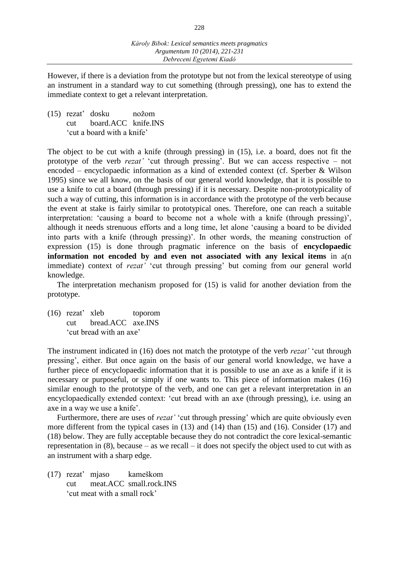However, if there is a deviation from the prototype but not from the lexical stereotype of using an instrument in a standard way to cut something (through pressing), one has to extend the immediate context to get a relevant interpretation.

(15) rezat' dosku nožom cut board.ACC knife.INS 'cut a board with a knife'

The object to be cut with a knife (through pressing) in (15), i.e. a board, does not fit the prototype of the verb *rezat'* 'cut through pressing'. But we can access respective – not encoded – encyclopaedic information as a kind of extended context (cf. Sperber & Wilson 1995) since we all know, on the basis of our general world knowledge, that it is possible to use a knife to cut a board (through pressing) if it is necessary. Despite non-prototypicality of such a way of cutting, this information is in accordance with the prototype of the verb because the event at stake is fairly similar to prototypical ones. Therefore, one can reach a suitable interpretation: 'causing a board to become not a whole with a knife (through pressing)', although it needs strenuous efforts and a long time, let alone 'causing a board to be divided into parts with a knife (through pressing)'. In other words, the meaning construction of expression (15) is done through pragmatic inference on the basis of **encyclopaedic information not encoded by and even not associated with any lexical items** in a(n immediate) context of *rezat'* 'cut through pressing' but coming from our general world knowledge.

The interpretation mechanism proposed for (15) is valid for another deviation from the prototype.

(16) rezat' xleb toporom cut bread.ACC axe.INS 'cut bread with an axe'

The instrument indicated in (16) does not match the prototype of the verb *rezat'* 'cut through pressing', either. But once again on the basis of our general world knowledge, we have a further piece of encyclopaedic information that it is possible to use an axe as a knife if it is necessary or purposeful, or simply if one wants to. This piece of information makes (16) similar enough to the prototype of the verb, and one can get a relevant interpretation in an encyclopaedically extended context: 'cut bread with an axe (through pressing), i.e. using an axe in a way we use a knife'.

Furthermore, there are uses of *rezat'* 'cut through pressing' which are quite obviously even more different from the typical cases in (13) and (14) than (15) and (16). Consider (17) and (18) below. They are fully acceptable because they do not contradict the core lexical-semantic representation in  $(8)$ , because – as we recall – it does not specify the object used to cut with as an instrument with a sharp edge.

(17) rezat' mjaso kameškom cut meat.ACC small.rock.INS 'cut meat with a small rock'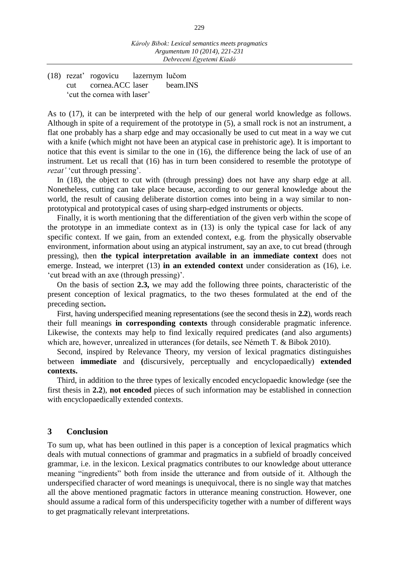(18) rezat' rogovicu lazernym lučom cut cornea.ACC laser beam.INS 'cut the cornea with laser'

As to (17), it can be interpreted with the help of our general world knowledge as follows. Although in spite of a requirement of the prototype in (5), a small rock is not an instrument, a flat one probably has a sharp edge and may occasionally be used to cut meat in a way we cut with a knife (which might not have been an atypical case in prehistoric age). It is important to notice that this event is similar to the one in (16), the difference being the lack of use of an instrument. Let us recall that (16) has in turn been considered to resemble the prototype of *rezat'* 'cut through pressing'.

In (18), the object to cut with (through pressing) does not have any sharp edge at all. Nonetheless, cutting can take place because, according to our general knowledge about the world, the result of causing deliberate distortion comes into being in a way similar to nonprototypical and prototypical cases of using sharp-edged instruments or objects.

Finally, it is worth mentioning that the differentiation of the given verb within the scope of the prototype in an immediate context as in (13) is only the typical case for lack of any specific context. If we gain, from an extended context, e.g. from the physically observable environment, information about using an atypical instrument, say an axe, to cut bread (through pressing), then **the typical interpretation available in an immediate context** does not emerge. Instead, we interpret (13) **in an extended context** under consideration as (16), i.e. 'cut bread with an axe (through pressing)'.

On the basis of section **2.3,** we may add the following three points, characteristic of the present conception of lexical pragmatics, to the two theses formulated at the end of the preceding section**.**

First, having underspecified meaning representations (see the second thesis in **2.2**), words reach their full meanings **in corresponding contexts** through considerable pragmatic inference. Likewise, the contexts may help to find lexically required predicates (and also arguments) which are, however, unrealized in utterances (for details, see Németh T. & Bibok 2010).

Second, inspired by Relevance Theory, my version of lexical pragmatics distinguishes between **immediate** and **(**discursively, perceptually and encyclopaedically) **extended contexts.**

Third, in addition to the three types of lexically encoded encyclopaedic knowledge (see the first thesis in **2.2**), **not encoded** pieces of such information may be established in connection with encyclopaedically extended contexts.

#### **3 Conclusion**

To sum up, what has been outlined in this paper is a conception of lexical pragmatics which deals with mutual connections of grammar and pragmatics in a subfield of broadly conceived grammar, i.e. in the lexicon. Lexical pragmatics contributes to our knowledge about utterance meaning "ingredients" both from inside the utterance and from outside of it. Although the underspecified character of word meanings is unequivocal, there is no single way that matches all the above mentioned pragmatic factors in utterance meaning construction. However, one should assume a radical form of this underspecificity together with a number of different ways to get pragmatically relevant interpretations.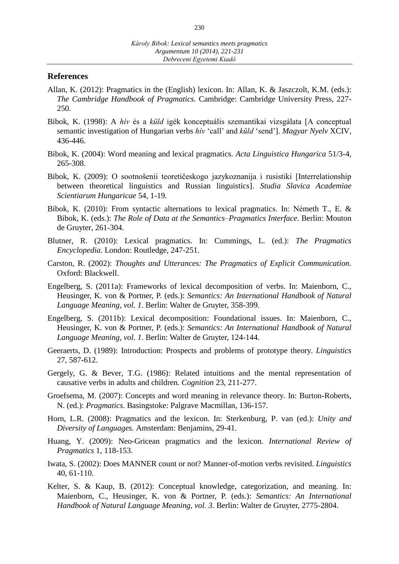#### **References**

- Allan, K. (2012): Pragmatics in the (English) lexicon. In: Allan, K. & Jaszczolt, K.M. (eds.): *The Cambridge Handbook of Pragmatics.* Cambridge: Cambridge University Press, 227- 250.
- Bibok, K. (1998): A *hív* és a *küld* igék konceptuális szemantikai vizsgálata [A conceptual semantic investigation of Hungarian verbs *hív* 'call' and *küld* 'send']. *Magyar Nyelv* XCIV, 436-446.
- Bibok, K. (2004): Word meaning and lexical pragmatics. *Acta Linguistica Hungarica* 51/3-4, 265-308.
- Bibok, K. (2009): О sootnošenii teoretičeskogo jazykoznanija i rusistiki [Interrelationship between theoretical linguistics and Russian linguistics]. *Studia Slavica Academiae Scientiarum Hungaricae* 54, 1-19.
- Bibok, K. (2010): From syntactic alternations to lexical pragmatics. In: Németh T., E. & Bibok, K. (eds.): *The Role of Data at the Semantics–Pragmatics Interface*. Berlin: Mouton de Gruyter, 261-304.
- Blutner, R. (2010): Lexical pragmatics. In: Cummings, L. (ed.): *The Pragmatics Encyclopedia.* London: Routledge, 247-251.
- Carston, R. (2002): *Thoughts and Utterances: The Pragmatics of Explicit Communication.* Oxford: Blackwell.
- Engelberg, S. (2011a): Frameworks of lexical decomposition of verbs. In: Maienborn, C., Heusinger, K. von & Portner, P. (eds.): *Semantics: An International Handbook of Natural Language Meaning, vol. 1*. Berlin: Walter de Gruyter, 358-399.
- Engelberg, S. (2011b): Lexical decomposition: Foundational issues. In: Maienborn, C., Heusinger, K. von & Portner, P. (eds.): *Semantics: An International Handbook of Natural Language Meaning, vol. 1*. Berlin: Walter de Gruyter, 124-144.
- Geeraerts, D. (1989): Introduction: Prospects and problems of prototype theory. *Linguistics*  27, 587-612.
- Gergely, G. & Bever, T.G. (1986): Related intuitions and the mental representation of causative verbs in adults and children. *Cognition* 23, 211-277.
- Groefsema, M. (2007): Concepts and word meaning in relevance theory. In: Burton-Roberts, N. (ed.): *Pragmatics.* Basingstoke: Palgrave Macmillan, 136-157.
- Horn, L.R. (2008): Pragmatics and the lexicon. In: Sterkenburg, P. van (ed.): *Unity and Diversity of Languages.* Amsterdam: Benjamins, 29-41.
- Huang, Y. (2009): Neo-Gricean pragmatics and the lexicon. *International Review of Pragmatics* 1, 118-153.
- Iwata, S. (2002): Does MANNER count or not? Manner-of-motion verbs revisited. *Linguistics* 40, 61-110.
- Kelter, S. & Kaup, B. (2012): Conceptual knowledge, categorization, and meaning. In: Maienborn, C., Heusinger, K. von & Portner, P. (eds.): *Semantics: An International Handbook of Natural Language Meaning, vol. 3.* Berlin: Walter de Gruyter, 2775-2804.